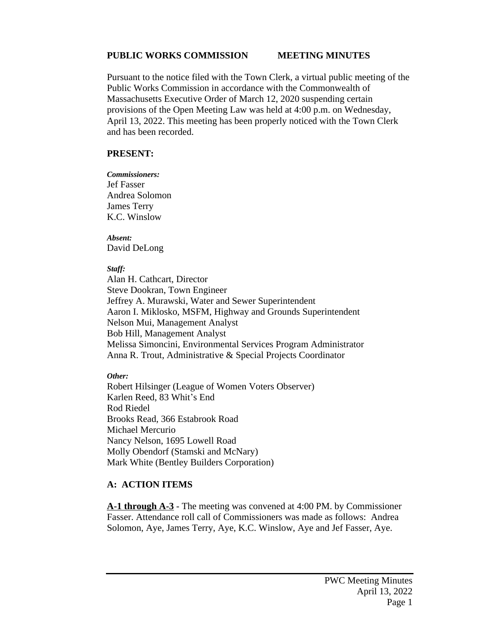### **PUBLIC WORKS COMMISSION MEETING MINUTES**

Pursuant to the notice filed with the Town Clerk, a virtual public meeting of the Public Works Commission in accordance with the Commonwealth of Massachusetts Executive Order of March 12, 2020 suspending certain provisions of the Open Meeting Law was held at 4:00 p.m. on Wednesday, April 13, 2022. This meeting has been properly noticed with the Town Clerk and has been recorded.

#### **PRESENT:**

*Commissioners:* Jef Fasser Andrea Solomon James Terry K.C. Winslow

*Absent:* David DeLong

#### *Staff:*

Alan H. Cathcart, Director Steve Dookran, Town Engineer Jeffrey A. Murawski, Water and Sewer Superintendent Aaron I. Miklosko, MSFM, Highway and Grounds Superintendent Nelson Mui, Management Analyst Bob Hill, Management Analyst Melissa Simoncini, Environmental Services Program Administrator Anna R. Trout, Administrative & Special Projects Coordinator

*Other:*

Robert Hilsinger (League of Women Voters Observer) Karlen Reed, 83 Whit's End Rod Riedel Brooks Read, 366 Estabrook Road Michael Mercurio Nancy Nelson, 1695 Lowell Road Molly Obendorf (Stamski and McNary) Mark White (Bentley Builders Corporation)

## **A: ACTION ITEMS**

**A-1 through A-3** - The meeting was convened at 4:00 PM. by Commissioner Fasser. Attendance roll call of Commissioners was made as follows: Andrea Solomon, Aye, James Terry, Aye, K.C. Winslow, Aye and Jef Fasser, Aye.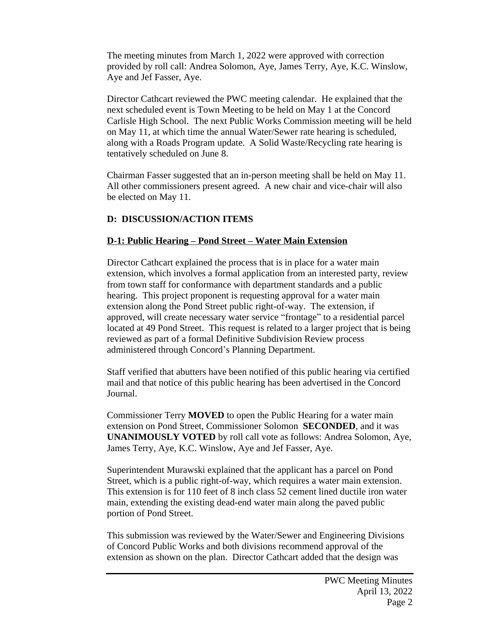The meeting minutes from March 1, 2022 were approved with correction provided by roll call: Andrea Solomon, Aye, James Terry, Aye, K.C. Winslow, Aye and Jef Fasser, Aye.

Director Cathcart reviewed the PWC meeting calendar. He explained that the next scheduled event is Town Meeting to be held on May 1 at the Concord Carlisle High School. The next Public Works Commission meeting will be held on May 11, at which time the annual Water/Sewer rate hearing is scheduled, along with a Roads Program update. A Solid Waste/Recycling rate hearing is tentatively scheduled on June 8.

Chairman Fasser suggested that an in-person meeting shall be held on May 11. All other commissioners present agreed. A new chair and vice-chair will also be elected on May 11.

# **D: DISCUSSION/ACTION ITEMS**

## **D-1: Public Hearing – Pond Street – Water Main Extension**

Director Cathcart explained the process that is in place for a water main extension, which involves a formal application from an interested party, review from town staff for conformance with department standards and a public hearing. This project proponent is requesting approval for a water main extension along the Pond Street public right-of-way. The extension, if approved, will create necessary water service "frontage" to a residential parcel located at 49 Pond Street. This request is related to a larger project that is being reviewed as part of a formal Definitive Subdivision Review process administered through Concord's Planning Department.

Staff verified that abutters have been notified of this public hearing via certified mail and that notice of this public hearing has been advertised in the Concord Journal.

Commissioner Terry **MOVED** to open the Public Hearing for a water main extension on Pond Street, Commissioner Solomon **SECONDED**, and it was **UNANIMOUSLY VOTED** by roll call vote as follows: Andrea Solomon, Aye, James Terry, Aye, K.C. Winslow, Aye and Jef Fasser, Aye.

Superintendent Murawski explained that the applicant has a parcel on Pond Street, which is a public right-of-way, which requires a water main extension. This extension is for 110 feet of 8 inch class 52 cement lined ductile iron water main, extending the existing dead-end water main along the paved public portion of Pond Street.

This submission was reviewed by the Water/Sewer and Engineering Divisions of Concord Public Works and both divisions recommend approval of the extension as shown on the plan. Director Cathcart added that the design was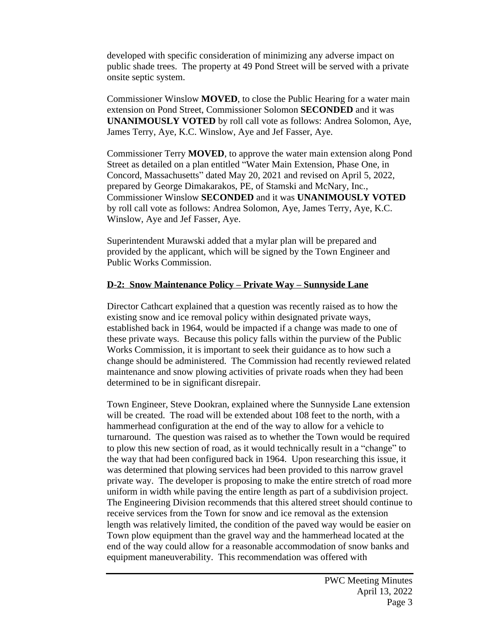developed with specific consideration of minimizing any adverse impact on public shade trees. The property at 49 Pond Street will be served with a private onsite septic system.

Commissioner Winslow **MOVED**, to close the Public Hearing for a water main extension on Pond Street, Commissioner Solomon **SECONDED** and it was **UNANIMOUSLY VOTED** by roll call vote as follows: Andrea Solomon, Aye, James Terry, Aye, K.C. Winslow, Aye and Jef Fasser, Aye.

Commissioner Terry **MOVED**, to approve the water main extension along Pond Street as detailed on a plan entitled "Water Main Extension, Phase One, in Concord, Massachusetts" dated May 20, 2021 and revised on April 5, 2022, prepared by George Dimakarakos, PE, of Stamski and McNary, Inc*.*, Commissioner Winslow **SECONDED** and it was **UNANIMOUSLY VOTED** by roll call vote as follows: Andrea Solomon, Aye, James Terry, Aye, K.C. Winslow, Aye and Jef Fasser, Aye.

Superintendent Murawski added that a mylar plan will be prepared and provided by the applicant, which will be signed by the Town Engineer and Public Works Commission.

## **D-2: Snow Maintenance Policy – Private Way – Sunnyside Lane**

Director Cathcart explained that a question was recently raised as to how the existing snow and ice removal policy within designated private ways, established back in 1964, would be impacted if a change was made to one of these private ways. Because this policy falls within the purview of the Public Works Commission, it is important to seek their guidance as to how such a change should be administered. The Commission had recently reviewed related maintenance and snow plowing activities of private roads when they had been determined to be in significant disrepair.

Town Engineer, Steve Dookran, explained where the Sunnyside Lane extension will be created. The road will be extended about 108 feet to the north, with a hammerhead configuration at the end of the way to allow for a vehicle to turnaround. The question was raised as to whether the Town would be required to plow this new section of road, as it would technically result in a "change" to the way that had been configured back in 1964. Upon researching this issue, it was determined that plowing services had been provided to this narrow gravel private way. The developer is proposing to make the entire stretch of road more uniform in width while paving the entire length as part of a subdivision project. The Engineering Division recommends that this altered street should continue to receive services from the Town for snow and ice removal as the extension length was relatively limited, the condition of the paved way would be easier on Town plow equipment than the gravel way and the hammerhead located at the end of the way could allow for a reasonable accommodation of snow banks and equipment maneuverability. This recommendation was offered with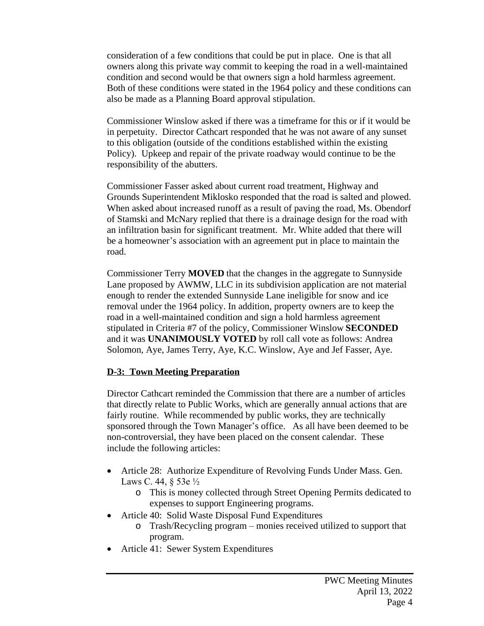consideration of a few conditions that could be put in place. One is that all owners along this private way commit to keeping the road in a well-maintained condition and second would be that owners sign a hold harmless agreement. Both of these conditions were stated in the 1964 policy and these conditions can also be made as a Planning Board approval stipulation.

Commissioner Winslow asked if there was a timeframe for this or if it would be in perpetuity. Director Cathcart responded that he was not aware of any sunset to this obligation (outside of the conditions established within the existing Policy). Upkeep and repair of the private roadway would continue to be the responsibility of the abutters.

Commissioner Fasser asked about current road treatment, Highway and Grounds Superintendent Miklosko responded that the road is salted and plowed. When asked about increased runoff as a result of paving the road, Ms. Obendorf of Stamski and McNary replied that there is a drainage design for the road with an infiltration basin for significant treatment. Mr. White added that there will be a homeowner's association with an agreement put in place to maintain the road.

Commissioner Terry **MOVED** that the changes in the aggregate to Sunnyside Lane proposed by AWMW, LLC in its subdivision application are not material enough to render the extended Sunnyside Lane ineligible for snow and ice removal under the 1964 policy. In addition, property owners are to keep the road in a well-maintained condition and sign a hold harmless agreement stipulated in Criteria #7 of the policy, Commissioner Winslow **SECONDED** and it was **UNANIMOUSLY VOTED** by roll call vote as follows: Andrea Solomon, Aye, James Terry, Aye, K.C. Winslow, Aye and Jef Fasser, Aye.

### **D-3: Town Meeting Preparation**

Director Cathcart reminded the Commission that there are a number of articles that directly relate to Public Works, which are generally annual actions that are fairly routine. While recommended by public works, they are technically sponsored through the Town Manager's office. As all have been deemed to be non-controversial, they have been placed on the consent calendar. These include the following articles:

- Article 28: Authorize Expenditure of Revolving Funds Under Mass. Gen. Laws C. 44, § 53e ½
	- o This is money collected through Street Opening Permits dedicated to expenses to support Engineering programs.
- Article 40: Solid Waste Disposal Fund Expenditures
	- o Trash/Recycling program monies received utilized to support that program.
- Article 41: Sewer System Expenditures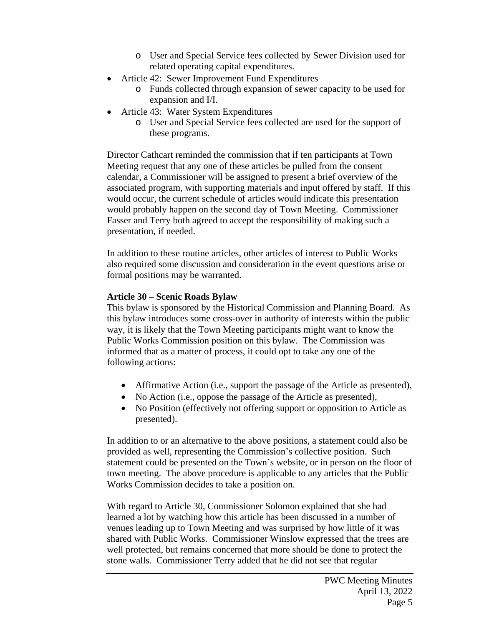- o User and Special Service fees collected by Sewer Division used for related operating capital expenditures.
- Article 42: Sewer Improvement Fund Expenditures
	- o Funds collected through expansion of sewer capacity to be used for expansion and I/I.
- Article 43: Water System Expenditures
	- o User and Special Service fees collected are used for the support of these programs.

Director Cathcart reminded the commission that if ten participants at Town Meeting request that any one of these articles be pulled from the consent calendar, a Commissioner will be assigned to present a brief overview of the associated program, with supporting materials and input offered by staff. If this would occur, the current schedule of articles would indicate this presentation would probably happen on the second day of Town Meeting. Commissioner Fasser and Terry both agreed to accept the responsibility of making such a presentation, if needed.

In addition to these routine articles, other articles of interest to Public Works also required some discussion and consideration in the event questions arise or formal positions may be warranted.

## **Article 30 – Scenic Roads Bylaw**

This bylaw is sponsored by the Historical Commission and Planning Board. As this bylaw introduces some cross-over in authority of interests within the public way, it is likely that the Town Meeting participants might want to know the Public Works Commission position on this bylaw. The Commission was informed that as a matter of process, it could opt to take any one of the following actions:

- Affirmative Action (i.e., support the passage of the Article as presented),
- No Action (i.e., oppose the passage of the Article as presented),
- No Position (effectively not offering support or opposition to Article as presented).

In addition to or an alternative to the above positions, a statement could also be provided as well, representing the Commission's collective position. Such statement could be presented on the Town's website, or in person on the floor of town meeting. The above procedure is applicable to any articles that the Public Works Commission decides to take a position on.

With regard to Article 30, Commissioner Solomon explained that she had learned a lot by watching how this article has been discussed in a number of venues leading up to Town Meeting and was surprised by how little of it was shared with Public Works. Commissioner Winslow expressed that the trees are well protected, but remains concerned that more should be done to protect the stone walls. Commissioner Terry added that he did not see that regular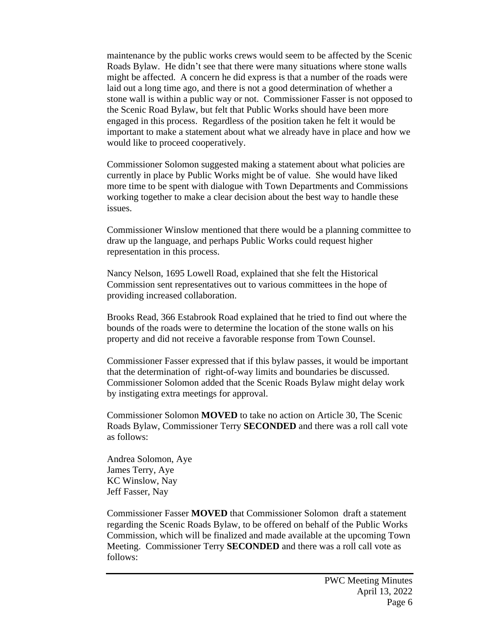maintenance by the public works crews would seem to be affected by the Scenic Roads Bylaw. He didn't see that there were many situations where stone walls might be affected. A concern he did express is that a number of the roads were laid out a long time ago, and there is not a good determination of whether a stone wall is within a public way or not. Commissioner Fasser is not opposed to the Scenic Road Bylaw, but felt that Public Works should have been more engaged in this process. Regardless of the position taken he felt it would be important to make a statement about what we already have in place and how we would like to proceed cooperatively.

Commissioner Solomon suggested making a statement about what policies are currently in place by Public Works might be of value. She would have liked more time to be spent with dialogue with Town Departments and Commissions working together to make a clear decision about the best way to handle these issues.

Commissioner Winslow mentioned that there would be a planning committee to draw up the language, and perhaps Public Works could request higher representation in this process.

Nancy Nelson, 1695 Lowell Road, explained that she felt the Historical Commission sent representatives out to various committees in the hope of providing increased collaboration.

Brooks Read, 366 Estabrook Road explained that he tried to find out where the bounds of the roads were to determine the location of the stone walls on his property and did not receive a favorable response from Town Counsel.

Commissioner Fasser expressed that if this bylaw passes, it would be important that the determination of right-of-way limits and boundaries be discussed. Commissioner Solomon added that the Scenic Roads Bylaw might delay work by instigating extra meetings for approval.

Commissioner Solomon **MOVED** to take no action on Article 30, The Scenic Roads Bylaw, Commissioner Terry **SECONDED** and there was a roll call vote as follows:

Andrea Solomon, Aye James Terry, Aye KC Winslow, Nay Jeff Fasser, Nay

Commissioner Fasser **MOVED** that Commissioner Solomon draft a statement regarding the Scenic Roads Bylaw, to be offered on behalf of the Public Works Commission, which will be finalized and made available at the upcoming Town Meeting. Commissioner Terry **SECONDED** and there was a roll call vote as follows: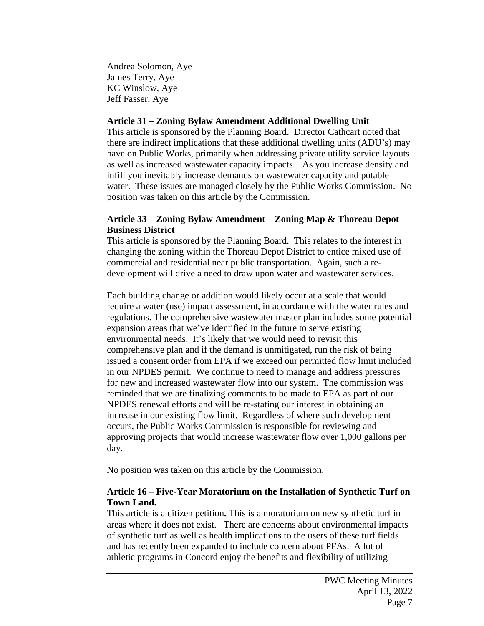Andrea Solomon, Aye James Terry, Aye KC Winslow, Aye Jeff Fasser, Aye

#### **Article 31 – Zoning Bylaw Amendment Additional Dwelling Unit**

This article is sponsored by the Planning Board. Director Cathcart noted that there are indirect implications that these additional dwelling units (ADU's) may have on Public Works, primarily when addressing private utility service layouts as well as increased wastewater capacity impacts. As you increase density and infill you inevitably increase demands on wastewater capacity and potable water. These issues are managed closely by the Public Works Commission. No position was taken on this article by the Commission.

#### **Article 33 – Zoning Bylaw Amendment – Zoning Map & Thoreau Depot Business District**

This article is sponsored by the Planning Board. This relates to the interest in changing the zoning within the Thoreau Depot District to entice mixed use of commercial and residential near public transportation. Again, such a redevelopment will drive a need to draw upon water and wastewater services.

Each building change or addition would likely occur at a scale that would require a water (use) impact assessment, in accordance with the water rules and regulations. The comprehensive wastewater master plan includes some potential expansion areas that we've identified in the future to serve existing environmental needs. It's likely that we would need to revisit this comprehensive plan and if the demand is unmitigated, run the risk of being issued a consent order from EPA if we exceed our permitted flow limit included in our NPDES permit. We continue to need to manage and address pressures for new and increased wastewater flow into our system. The commission was reminded that we are finalizing comments to be made to EPA as part of our NPDES renewal efforts and will be re-stating our interest in obtaining an increase in our existing flow limit. Regardless of where such development occurs, the Public Works Commission is responsible for reviewing and approving projects that would increase wastewater flow over 1,000 gallons per day.

No position was taken on this article by the Commission.

## **Article 16 – Five-Year Moratorium on the Installation of Synthetic Turf on Town Land.**

This article is a citizen petition**.** This is a moratorium on new synthetic turf in areas where it does not exist.There are concerns about environmental impacts of synthetic turf as well as health implications to the users of these turf fields and has recently been expanded to include concern about PFAs. A lot of athletic programs in Concord enjoy the benefits and flexibility of utilizing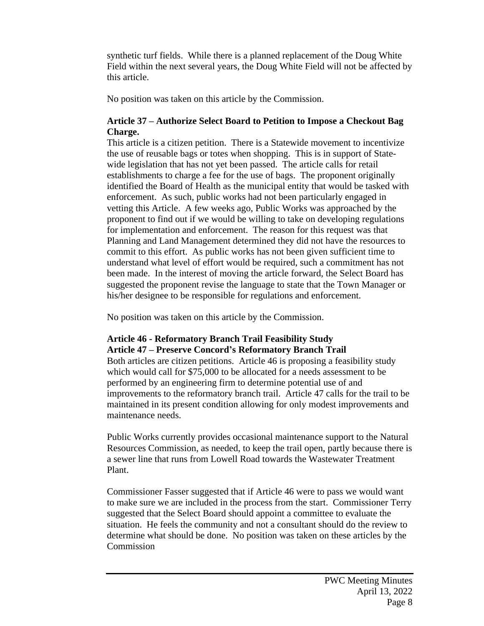synthetic turf fields. While there is a planned replacement of the Doug White Field within the next several years, the Doug White Field will not be affected by this article.

No position was taken on this article by the Commission.

## **Article 37 – Authorize Select Board to Petition to Impose a Checkout Bag Charge.**

This article is a citizen petition. There is a Statewide movement to incentivize the use of reusable bags or totes when shopping. This is in support of Statewide legislation that has not yet been passed. The article calls for retail establishments to charge a fee for the use of bags. The proponent originally identified the Board of Health as the municipal entity that would be tasked with enforcement. As such, public works had not been particularly engaged in vetting this Article. A few weeks ago, Public Works was approached by the proponent to find out if we would be willing to take on developing regulations for implementation and enforcement. The reason for this request was that Planning and Land Management determined they did not have the resources to commit to this effort. As public works has not been given sufficient time to understand what level of effort would be required, such a commitment has not been made. In the interest of moving the article forward, the Select Board has suggested the proponent revise the language to state that the Town Manager or his/her designee to be responsible for regulations and enforcement.

No position was taken on this article by the Commission.

# **Article 46 - Reformatory Branch Trail Feasibility Study Article 47 – Preserve Concord's Reformatory Branch Trail**

Both articles are citizen petitions. Article 46 is proposing a feasibility study which would call for \$75,000 to be allocated for a needs assessment to be performed by an engineering firm to determine potential use of and improvements to the reformatory branch trail. Article 47 calls for the trail to be maintained in its present condition allowing for only modest improvements and maintenance needs.

Public Works currently provides occasional maintenance support to the Natural Resources Commission, as needed, to keep the trail open, partly because there is a sewer line that runs from Lowell Road towards the Wastewater Treatment Plant.

Commissioner Fasser suggested that if Article 46 were to pass we would want to make sure we are included in the process from the start. Commissioner Terry suggested that the Select Board should appoint a committee to evaluate the situation. He feels the community and not a consultant should do the review to determine what should be done. No position was taken on these articles by the **Commission**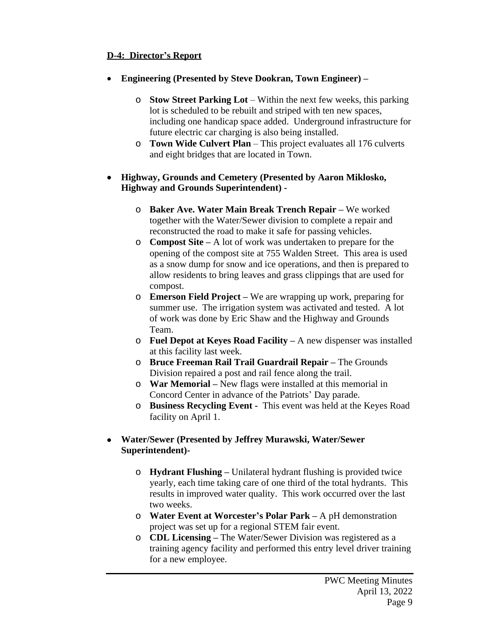# **D-4: Director's Report**

- **Engineering (Presented by Steve Dookran, Town Engineer) –**
	- o **Stow Street Parking Lot** Within the next few weeks, this parking lot is scheduled to be rebuilt and striped with ten new spaces, including one handicap space added. Underground infrastructure for future electric car charging is also being installed.
	- o **Town Wide Culvert Plan** This project evaluates all 176 culverts and eight bridges that are located in Town.

## **Highway, Grounds and Cemetery (Presented by Aaron Miklosko, Highway and Grounds Superintendent) -**

- o **Baker Ave. Water Main Break Trench Repair –** We worked together with the Water/Sewer division to complete a repair and reconstructed the road to make it safe for passing vehicles.
- o **Compost Site –** A lot of work was undertaken to prepare for the opening of the compost site at 755 Walden Street. This area is used as a snow dump for snow and ice operations, and then is prepared to allow residents to bring leaves and grass clippings that are used for compost.
- o **Emerson Field Project –** We are wrapping up work, preparing for summer use. The irrigation system was activated and tested. A lot of work was done by Eric Shaw and the Highway and Grounds Team.
- o **Fuel Depot at Keyes Road Facility –** A new dispenser was installed at this facility last week.
- o **Bruce Freeman Rail Trail Guardrail Repair –** The Grounds Division repaired a post and rail fence along the trail.
- o **War Memorial –** New flags were installed at this memorial in Concord Center in advance of the Patriots' Day parade.
- o **Business Recycling Event -** This event was held at the Keyes Road facility on April 1.

# **Water/Sewer (Presented by Jeffrey Murawski, Water/Sewer Superintendent)-**

- o **Hydrant Flushing –** Unilateral hydrant flushing is provided twice yearly, each time taking care of one third of the total hydrants. This results in improved water quality. This work occurred over the last two weeks.
- o **Water Event at Worcester's Polar Park –** A pH demonstration project was set up for a regional STEM fair event.
- o **CDL Licensing –** The Water/Sewer Division was registered as a training agency facility and performed this entry level driver training for a new employee.